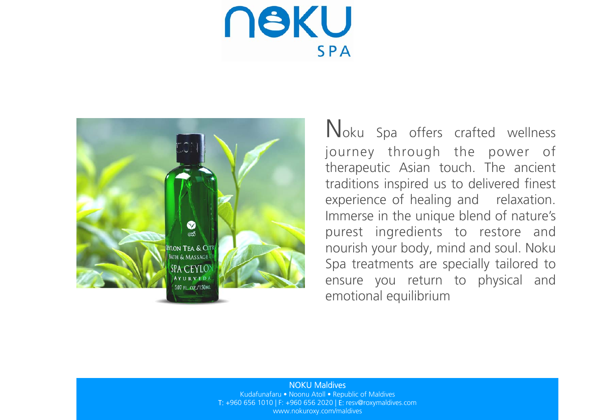**NSKU SPA** 



Noku Spa offers crafted wellness journey through the power of therapeutic Asian touch. The ancient traditions inspired us to delivered finest experience of healing and relaxation. Immerse in the unique blend of nature's purest ingredients to restore and nourish your body, mind and soul. Noku Spa treatments are specially tailored to ensure you return to physical and emotional equilibrium

#### NOKU Maldives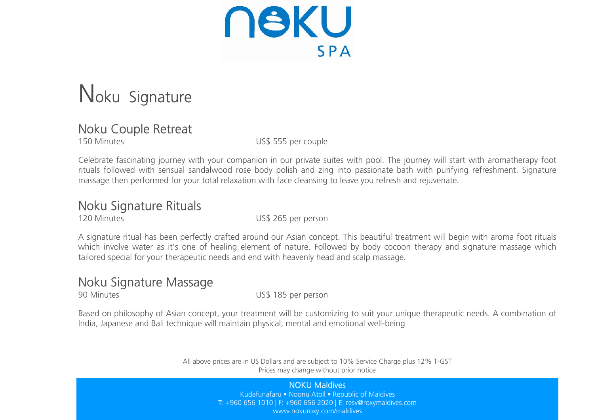**NSKU** SPA

# Noku Signature

### Noku Couple Retreat

150 Minutes US\$ 555 per couple

Celebrate fascinating journey with your companion in our private suites with pool. The journey will start with aromatherapy foot rituals followed with sensual sandalwood rose body polish and zing into passionate bath with purifying refreshment. Signature massage then performed for your total relaxation with face cleansing to leave you refresh and rejuvenate.

### Noku Signature Rituals

120 Minutes US\$ 265 per person

A signature ritual has been perfectly crafted around our Asian concept. This beautiful treatment will begin with aroma foot rituals which involve water as it's one of healing element of nature. Followed by body cocoon therapy and signature massage which tailored special for your therapeutic needs and end with heavenly head and scalp massage.

### Noku Signature Massage

90 Minutes US\$ 185 per person

Based on philosophy of Asian concept, your treatment will be customizing to suit your unique therapeutic needs. A combination of India, Japanese and Bali technique will maintain physical, mental and emotional well-being

> All above prices are in US Dollars and are subject to 10% Service Charge plus 12% T-GST Prices may change without prior notice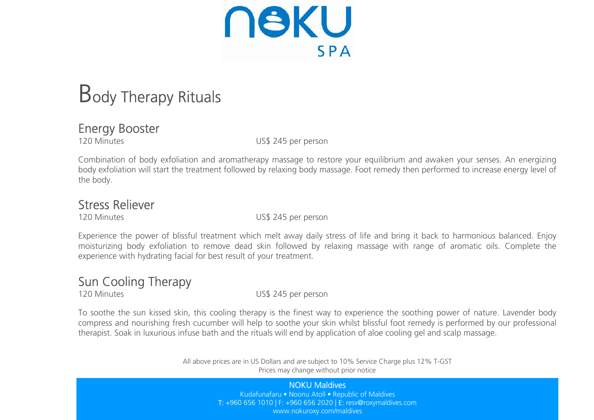**NSKU SPA** 

# Body Therapy Rituals

### Energy Booster

120 Minutes **120 Minutes US\$ 245 per person** 

Combination of body exfoliation and aromatherapy massage to restore your equilibrium and awaken your senses. An energizing body exfoliation will start the treatment followed by relaxing body massage. Foot remedy then performed to increase energy level of the body.

### Stress Reliever

120 Minutes US\$ 245 per person

Experience the power of blissful treatment which melt away daily stress of life and bring it back to harmonious balanced. Enjoy moisturizing body exfoliation to remove dead skin followed by relaxing massage with range of aromatic oils. Complete the experience with hydrating facial for best result of your treatment.

### Sun Cooling Therapy

120 Minutes US\$ 245 per person

To soothe the sun kissed skin, this cooling therapy is the finest way to experience the soothing power of nature. Lavender body compress and nourishing fresh cucumber will help to soothe your skin whilst blissful foot remedy is performed by our professional therapist. Soak in luxurious infuse bath and the rituals will end by application of aloe cooling gel and scalp massage.

> All above prices are in US Dollars and are subject to 10% Service Charge plus 12% T-GST Prices may change without prior notice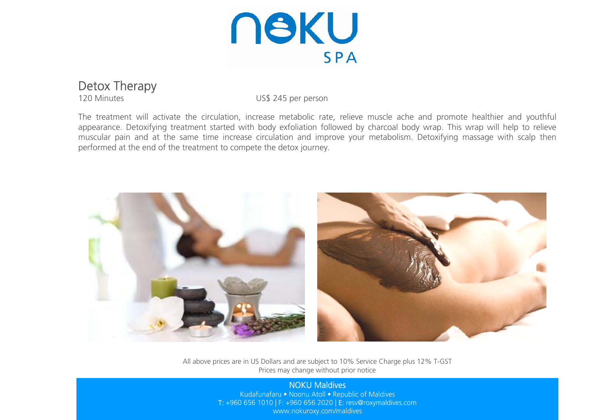

### Detox Therapy

120 Minutes US\$ 245 per person

The treatment will activate the circulation, increase metabolic rate, relieve muscle ache and promote healthier and youthful appearance. Detoxifying treatment started with body exfoliation followed by charcoal body wrap. This wrap will help to relieve muscular pain and at the same time increase circulation and improve your metabolism. Detoxifying massage with scalp then performed at the end of the treatment to compete the detox journey.



All above prices are in US Dollars and are subject to 10% Service Charge plus 12% T-GST Prices may change without prior notice

#### NOKU Maldives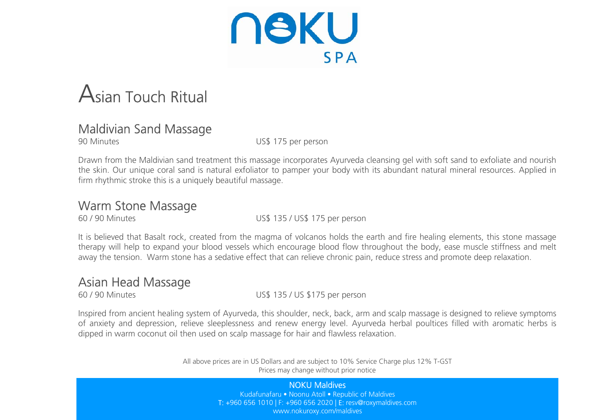

# Asian Touch Ritual

### Maldivian Sand Massage

90 Minutes US\$ 175 per person

Drawn from the Maldivian sand treatment this massage incorporates Ayurveda cleansing gel with soft sand to exfoliate and nourish the skin. Our unique coral sand is natural exfoliator to pamper your body with its abundant natural mineral resources. Applied in firm rhythmic stroke this is a uniquely beautiful massage.

### Warm Stone Massage

60 / 90 Minutes US\$ 135 / US\$ 175 per person

It is believed that Basalt rock, created from the magma of volcanos holds the earth and fire healing elements, this stone massage therapy will help to expand your blood vessels which encourage blood flow throughout the body, ease muscle stiffness and melt away the tension. Warm stone has a sedative effect that can relieve chronic pain, reduce stress and promote deep relaxation.

### Asian Head Massage

60 / 90 Minutes US\$ 135 / US \$175 per person

Inspired from ancient healing system of Ayurveda, this shoulder, neck, back, arm and scalp massage is designed to relieve symptoms of anxiety and depression, relieve sleeplessness and renew energy level. Ayurveda herbal poultices filled with aromatic herbs is dipped in warm coconut oil then used on scalp massage for hair and flawless relaxation.

> All above prices are in US Dollars and are subject to 10% Service Charge plus 12% T-GST Prices may change without prior notice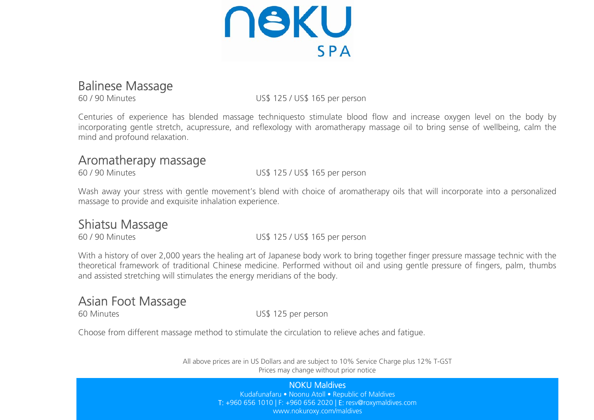

### Balinese Massage

60 / 90 Minutes US\$ 125 / US\$ 165 per person

Centuries of experience has blended massage techniquesto stimulate blood flow and increase oxygen level on the body by incorporating gentle stretch, acupressure, and reflexology with aromatherapy massage oil to bring sense of wellbeing, calm the mind and profound relaxation.

### Aromatherapy massage

60 / 90 Minutes US\$ 125 / US\$ 165 per person

Wash away your stress with gentle movement's blend with choice of aromatherapy oils that will incorporate into a personalized massage to provide and exquisite inhalation experience.

## **Shiatsu Massage**<br>60/90 Minutes

US\$ 125 / US\$ 165 per person

With a history of over 2,000 years the healing art of Japanese body work to bring together finger pressure massage technic with the theoretical framework of traditional Chinese medicine. Performed without oil and using gentle pressure of fingers, palm, thumbs and assisted stretching will stimulates the energy meridians of the body.

### Asian Foot Massage

60 Minutes US\$ 125 per person

Choose from different massage method to stimulate the circulation to relieve aches and fatigue.

All above prices are in US Dollars and are subject to 10% Service Charge plus 12% T-GST Prices may change without prior notice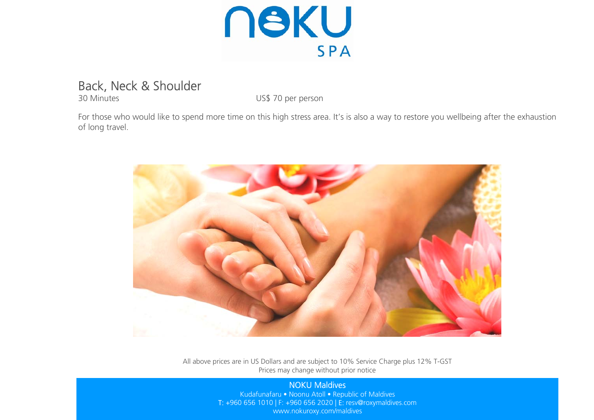

### Back, Neck & Shoulder

30 Minutes US\$ 70 per person

For those who would like to spend more time on this high stress area. It's is also a way to restore you wellbeing after the exhaustion of long travel.



All above prices are in US Dollars and are subject to 10% Service Charge plus 12% T-GST Prices may change without prior notice

#### NOKU Maldives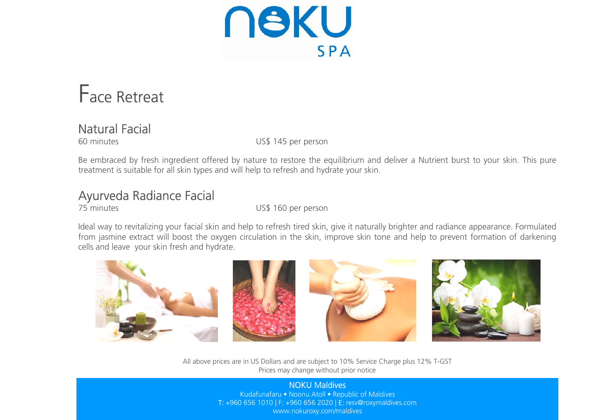**NSKU SPA** 

# Face Retreat

### Natural Facial

60 minutes US\$ 145 per person

Be embraced by fresh ingredient offered by nature to restore the equilibrium and deliver a Nutrient burst to your skin. This pure treatment is suitable for all skin types and will help to refresh and hydrate your skin.

### Ayurveda Radiance Facial

75 minutes US\$ 160 per person

Ideal way to revitalizing your facial skin and help to refresh tired skin, give it naturally brighter and radiance appearance. Formulated from jasmine extract will boost the oxygen circulation in the skin, improve skin tone and help to prevent formation of darkening cells and leave your skin fresh and hydrate.



All above prices are in US Dollars and are subject to 10% Service Charge plus 12% T-GST Prices may change without prior notice

#### NOKU Maldives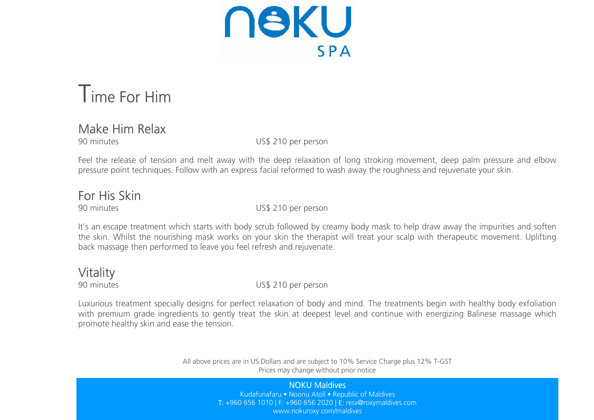**NSKU SPA** 

## Time For Him

### Make Him Relax

90 minutes US\$ 210 per person

Feel the release of tension and melt away with the deep relaxation of long stroking movement, deep palm pressure and elbow pressure point techniques. Follow with an express facial reformed to wash away the roughness and rejuvenate your skin.

### For His Skin

90 minutes US\$ 210 per person

It's an escape treatment which starts with body scrub followed by creamy body mask to help draw away the impurities and soften the skin. Whilst the nourishing mask works on your skin the therapist will treat your scalp with therapeutic movement. Uplifting back massage then performed to leave you feel refresh and rejuvenate.

## **Vitality**

90 minutes US\$ 210 per person

Luxurious treatment specially designs for perfect relaxation of body and mind. The treatments begin with healthy body exfoliation with premium grade ingredients to gently treat the skin at deepest level and continue with energizing Balinese massage which promote healthy skin and ease the tension.

> All above prices are in US Dollars and are subject to 10% Service Charge plus 12% T-GST Prices may change without prior notice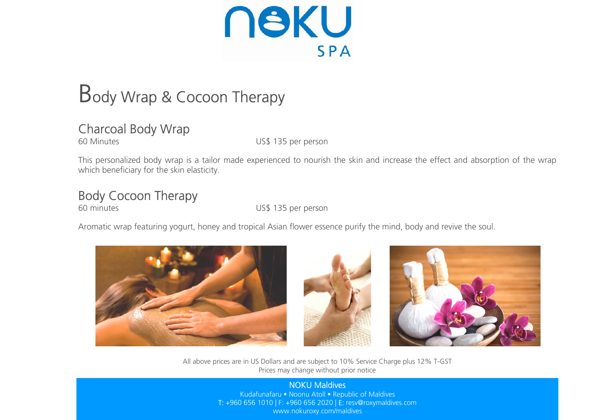**NSKU SPA** 

# Body Wrap & Cocoon Therapy

### Charcoal Body Wrap

60 Minutes US\$ 135 per person

This personalized body wrap is a tailor made experienced to nourish the skin and increase the effect and absorption of the wrap which beneficiary for the skin elasticity.

### Body Cocoon Therapy

60 minutes US\$ 135 per person

Aromatic wrap featuring yogurt, honey and tropical Asian flower essence purify the mind, body and revive the soul.







All above prices are in US Dollars and are subject to 10% Service Charge plus 12% T-GST Prices may change without prior notice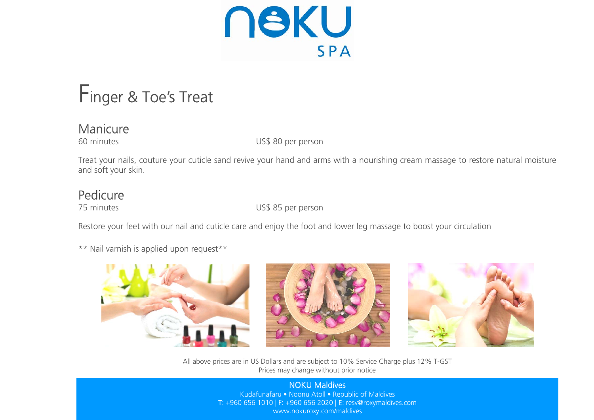

## Finger & Toe's Treat

### Manicure

60 minutes US\$ 80 per person

Treat your nails, couture your cuticle sand revive your hand and arms with a nourishing cream massage to restore natural moisture and soft your skin.

### Pedicure

75 minutes US\$ 85 per person

Restore your feet with our nail and cuticle care and enjoy the foot and lower leg massage to boost your circulation

\*\* Nail varnish is applied upon request\*\*







All above prices are in US Dollars and are subject to 10% Service Charge plus 12% T-GST Prices may change without prior notice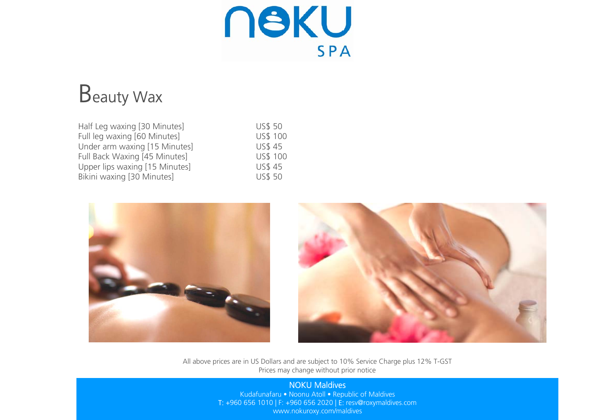**NSKU** SPA

# Beauty Wax

| Half Leg waxing [30 Minutes]   | <b>US\$ 50</b> |
|--------------------------------|----------------|
| Full leg waxing [60 Minutes]   | US\$ 100       |
| Under arm waxing [15 Minutes]  | <b>US\$45</b>  |
| Full Back Waxing [45 Minutes]  | US\$ 100       |
| Upper lips waxing [15 Minutes] | <b>US\$45</b>  |
| Bikini waxing [30 Minutes]     | <b>US\$ 50</b> |





All above prices are in US Dollars and are subject to 10% Service Charge plus 12% T-GST Prices may change without prior notice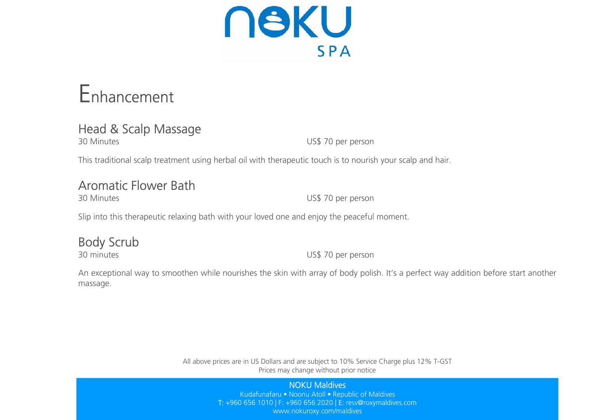**NSKU SPA** 

# Enhancement

### Head & Scalp Massage

30 Minutes US\$ 70 per person

This traditional scalp treatment using herbal oil with therapeutic touch is to nourish your scalp and hair.

### Aromatic Flower Bath

30 Minutes US\$ 70 per person

Slip into this therapeutic relaxing bath with your loved one and enjoy the peaceful moment.

### Body Scrub

30 minutes US\$ 70 per person

An exceptional way to smoothen while nourishes the skin with array of body polish. It's a perfect way addition before start another massage.

> All above prices are in US Dollars and are subject to 10% Service Charge plus 12% T-GST Prices may change without prior notice